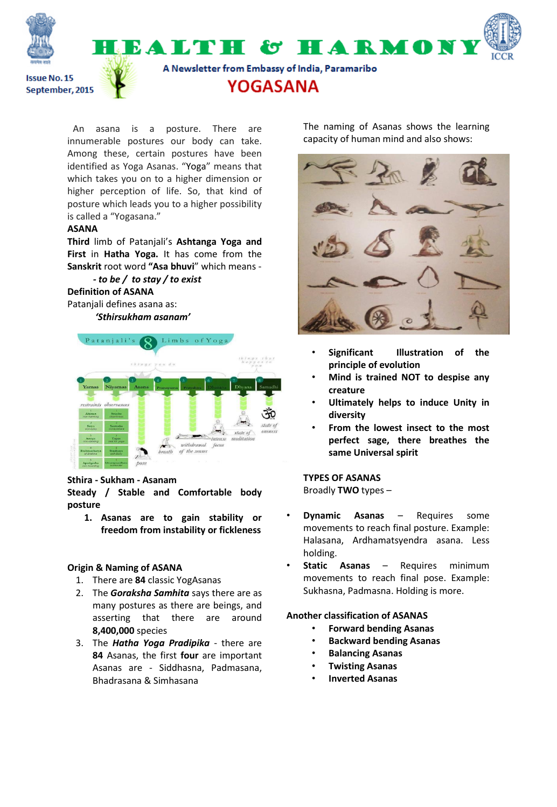

An asana is a posture. There are innumerable postures our body can take. Among these, certain postures have been identified as Yoga Asanas. "Yoga" means that which takes you on to a higher dimension or higher perception of life. So, that kind of posture which leads you to a higher possibility is called a "Yogasana."

### **ASANA**

**Third** limb of Patanjali's **Ashtanga Yoga and First** in **Hatha Yoga.** It has come from the **Sanskrit** root word **"Asa bhuvi**" which means -

#### *- to be / to stay / to exist* **Definition of ASANA**

Patanjali defines asana as:  *'Sthirsukham asanam'*



# **Sthira - Sukham - Asanam**

**Steady / Stable and Comfortable body posture**

**1. Asanas are to gain stability or freedom from instability or fickleness**

# **Origin & Naming of ASANA**

- 1. There are **84** classic YogAsanas
- 2. The *Goraksha Samhita* says there are as many postures as there are beings, and asserting that there are around **8,400,000** species
- 3. The *Hatha Yoga Pradipika*  there are **84** Asanas, the first **four** are important Asanas are - Siddhasna, Padmasana, Bhadrasana & Simhasana

The naming of Asanas shows the learning capacity of human mind and also shows:



- **Significant Illustration of the principle of evolution**
- **Mind is trained NOT to despise any creature**
- **Ultimately helps to induce Unity in diversity**
- **From the lowest insect to the most perfect sage, there breathes the same Universal spirit**

# **TYPES OF ASANAS**

Broadly **TWO** types –

- **Dynamic Asanas** Requires some movements to reach final posture. Example: Halasana, Ardhamatsyendra asana. Less holding.
- **Static Asanas** Requires minimum movements to reach final pose. Example: Sukhasna, Padmasna. Holding is more.

# **Another classification of ASANAS**

- **Forward bending Asanas**
- **Backward bending Asanas**
- **Balancing Asanas**
- **Twisting Asanas**
- **Inverted Asanas**